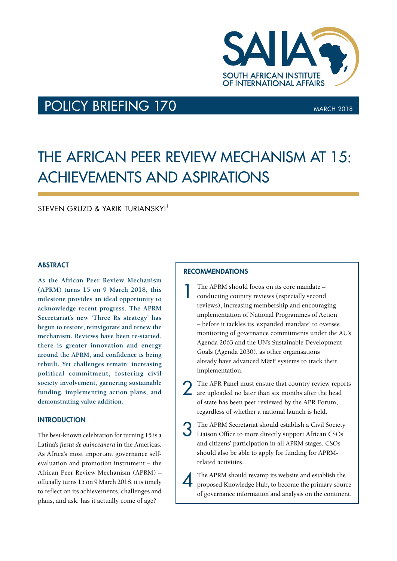

# POLICY BRIEFING 170 MARCH 2018

# THE AFRICAN PEER REVIEW MECHANISM AT 15: ACHIEVEMENTS AND ASPIRATIONS

STEVEN GRUZD & YARIK TURIANSKYI<sup>1</sup>

# **ABSTRACT**

**As the African Peer Review Mechanism (APRM) turns 15 on 9 March 2018, this milestone provides an ideal opportunity to acknowledge recent progress. The APRM Secretariat's new 'Three Rs strategy' has begun to restore, reinvigorate and renew the mechanism. Reviews have been re-started, there is greater innovation and energy around the APRM, and confidence is being rebuilt. Yet challenges remain: increasing political commitment, fostering civil society involvement, garnering sustainable funding, implementing action plans, and demonstrating value addition.**

## **INTRODUCTION**

The best-known celebration for turning 15 is a Latina's *fiesta de quinceañera* in the Americas. As Africa's most important governance selfevaluation and promotion instrument – the African Peer Review Mechanism (APRM) – officially turns 15 on 9 March 2018, it is timely to reflect on its achievements, challenges and plans, and ask: has it actually come of age?

#### **RECOMMENDATIONS**

1 The APRM should focus on its core mandate – conducting country reviews (especially second reviews), increasing membership and encouraging implementation of National Programmes of Action – before it tackles its 'expanded mandate' to oversee monitoring of governance commitments under the AU's Agenda 2063 and the UN's Sustainable Development Goals (Agenda 2030), as other organisations already have advanced M&E systems to track their implementation.

2 The APR Panel must ensure that country review reports are uploaded no later than six months after the head of state has been peer reviewed by the APR Forum, regardless of whether a national launch is held.

3 The APRM Secretariat should establish a Civil Society Liaison Office to more directly support African CSOs' and citizens' participation in all APRM stages. CSOs should also be able to apply for funding for APRMrelated activities.

The APRM should revamp its website and establish the proposed Knowledge Hub, to become the primary source of governance information and analysis on the continent.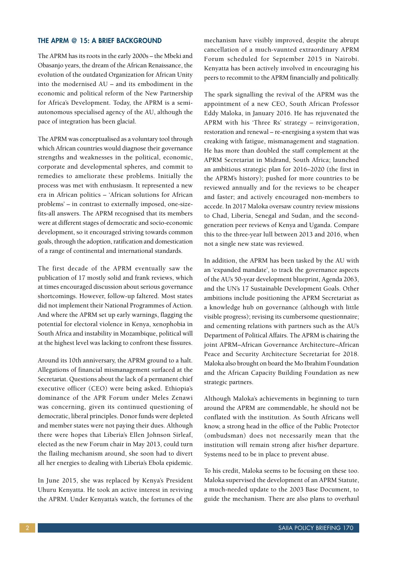#### THE APRM @ 15: A BRIEF BACKGROUND

The APRM has its roots in the early 2000s – the Mbeki and Obasanjo years, the dream of the African Renaissance, the evolution of the outdated Organization for African Unity into the modernised AU – and its embodiment in the economic and political reform of the New Partnership for Africa's Development. Today, the APRM is a semiautonomous specialised agency of the AU, although the pace of integration has been glacial.

The APRM was conceptualised as a voluntary tool through which African countries would diagnose their governance strengths and weaknesses in the political, economic, corporate and developmental spheres, and commit to remedies to ameliorate these problems. Initially the process was met with enthusiasm. It represented a new era in African politics – 'African solutions for African problems' – in contrast to externally imposed, one-sizefits-all answers. The APRM recognised that its members were at different stages of democratic and socio-economic development, so it encouraged striving towards common goals, through the adoption, ratification and domestication of a range of continental and international standards.

The first decade of the APRM eventually saw the publication of 17 mostly solid and frank reviews, which at times encouraged discussion about serious governance shortcomings. However, follow-up faltered. Most states did not implement their National Programmes of Action. And where the APRM set up early warnings, flagging the potential for electoral violence in Kenya, xenophobia in South Africa and instability in Mozambique, political will at the highest level was lacking to confront these fissures.

Around its 10th anniversary, the APRM ground to a halt. Allegations of financial mismanagement surfaced at the Secretariat. Questions about the lack of a permanent chief executive officer (CEO) were being asked. Ethiopia's dominance of the APR Forum under Meles Zenawi was concerning, given its continued questioning of democratic, liberal principles. Donor funds were depleted and member states were not paying their dues. Although there were hopes that Liberia's Ellen Johnson Sirleaf, elected as the new Forum chair in May 2013, could turn the flailing mechanism around, she soon had to divert all her energies to dealing with Liberia's Ebola epidemic.

In June 2015, she was replaced by Kenya's President Uhuru Kenyatta. He took an active interest in reviving the APRM. Under Kenyatta's watch, the fortunes of the

mechanism have visibly improved, despite the abrupt cancellation of a much-vaunted extraordinary APRM Forum scheduled for September 2015 in Nairobi. Kenyatta has been actively involved in encouraging his peers to recommit to the APRM financially and politically.

The spark signalling the revival of the APRM was the appointment of a new CEO, South African Professor Eddy Maloka, in January 2016. He has rejuvenated the APRM with his 'Three Rs' strategy – reinvigoration, restoration and renewal – re-energising a system that was creaking with fatigue, mismanagement and stagnation. He has more than doubled the staff complement at the APRM Secretariat in Midrand, South Africa; launched an ambitious strategic plan for 2016–2020 (the first in the APRM's history); pushed for more countries to be reviewed annually and for the reviews to be cheaper and faster; and actively encouraged non-members to accede. In 2017 Maloka oversaw country review missions to Chad, Liberia, Senegal and Sudan, and the secondgeneration peer reviews of Kenya and Uganda. Compare this to the three-year lull between 2013 and 2016, when not a single new state was reviewed.

In addition, the APRM has been tasked by the AU with an 'expanded mandate', to track the governance aspects of the AU's 50-year development blueprint, Agenda 2063, and the UN's 17 Sustainable Development Goals. Other ambitions include positioning the APRM Secretariat as a knowledge hub on governance (although with little visible progress); revising its cumbersome questionnaire; and cementing relations with partners such as the AU's Department of Political Affairs. The APRM is chairing the joint APRM–African Governance Architecture–African Peace and Security Architecture Secretariat for 2018. Maloka also brought on board the Mo Ibrahim Foundation and the African Capacity Building Foundation as new strategic partners.

Although Maloka's achievements in beginning to turn around the APRM are commendable, he should not be conflated with the institution. As South Africans well know, a strong head in the office of the Public Protector (ombudsman) does not necessarily mean that the institution will remain strong after his/her departure. Systems need to be in place to prevent abuse.

To his credit, Maloka seems to be focusing on these too. Maloka supervised the development of an APRM Statute, a much-needed update to the 2003 Base Document, to guide the mechanism. There are also plans to overhaul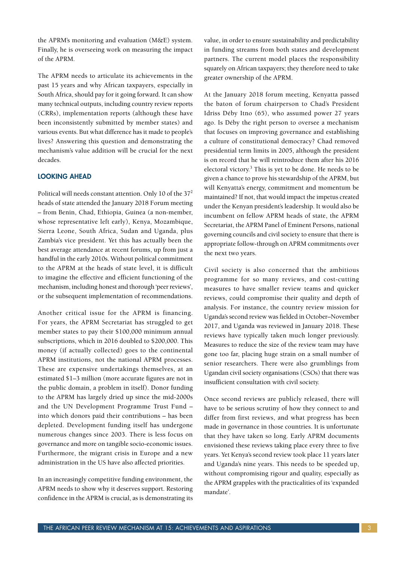the APRM's monitoring and evaluation (M&E) system. Finally, he is overseeing work on measuring the impact of the APRM.

The APRM needs to articulate its achievements in the past 15 years and why African taxpayers, especially in South Africa, should pay for it going forward. It can show many technical outputs, including country review reports (CRRs), implementation reports (although these have been inconsistently submitted by member states) and various events. But what difference has it made to people's lives? Answering this question and demonstrating the mechanism's value addition will be crucial for the next decades.

#### LOOKING AHEAD

Political will needs constant attention. Only 10 of the 372 heads of state attended the January 2018 Forum meeting – from Benin, Chad, Ethiopia, Guinea (a non-member, whose representative left early), Kenya, Mozambique, Sierra Leone, South Africa, Sudan and Uganda, plus Zambia's vice president. Yet this has actually been the best average attendance at recent forums, up from just a handful in the early 2010s. Without political commitment to the APRM at the heads of state level, it is difficult to imagine the effective and efficient functioning of the mechanism, including honest and thorough 'peer reviews', or the subsequent implementation of recommendations.

Another critical issue for the APRM is financing. For years, the APRM Secretariat has struggled to get member states to pay their \$100,000 minimum annual subscriptions, which in 2016 doubled to \$200,000. This money (if actually collected) goes to the continental APRM institutions, not the national APRM processes. These are expensive undertakings themselves, at an estimated \$1–3 million (more accurate figures are not in the public domain, a problem in itself). Donor funding to the APRM has largely dried up since the mid-2000s and the UN Development Programme Trust Fund – into which donors paid their contributions – has been depleted. Development funding itself has undergone numerous changes since 2003. There is less focus on governance and more on tangible socio-economic issues. Furthermore, the migrant crisis in Europe and a new administration in the US have also affected priorities.

In an increasingly competitive funding environment, the APRM needs to show why it deserves support. Restoring confidence in the APRM is crucial, as is demonstrating its value, in order to ensure sustainability and predictability in funding streams from both states and development partners. The current model places the responsibility squarely on African taxpayers; they therefore need to take greater ownership of the APRM.

At the January 2018 forum meeting, Kenyatta passed the baton of forum chairperson to Chad's President Idriss Déby Itno (65), who assumed power 27 years ago. Is Déby the right person to oversee a mechanism that focuses on improving governance and establishing a culture of constitutional democracy? Chad removed presidential term limits in 2005, although the president is on record that he will reintroduce them after his 2016 electoral victory.<sup>3</sup> This is yet to be done. He needs to be given a chance to prove his stewardship of the APRM, but will Kenyatta's energy, commitment and momentum be maintained? If not, that would impact the impetus created under the Kenyan president's leadership. It would also be incumbent on fellow APRM heads of state, the APRM Secretariat, the APRM Panel of Eminent Persons, national governing councils and civil society to ensure that there is appropriate follow-through on APRM commitments over the next two years.

Civil society is also concerned that the ambitious programme for so many reviews, and cost-cutting measures to have smaller review teams and quicker reviews, could compromise their quality and depth of analysis. For instance, the country review mission for Uganda's second review was fielded in October–November 2017, and Uganda was reviewed in January 2018. These reviews have typically taken much longer previously. Measures to reduce the size of the review team may have gone too far, placing huge strain on a small number of senior researchers. There were also grumblings from Ugandan civil society organisations (CSOs) that there was insufficient consultation with civil society.

Once second reviews are publicly released, there will have to be serious scrutiny of how they connect to and differ from first reviews, and what progress has been made in governance in those countries. It is unfortunate that they have taken so long. Early APRM documents envisioned these reviews taking place every three to five years. Yet Kenya's second review took place 11 years later and Uganda's nine years. This needs to be speeded up, without compromising rigour and quality, especially as the APRM grapples with the practicalities of its 'expanded mandate'.